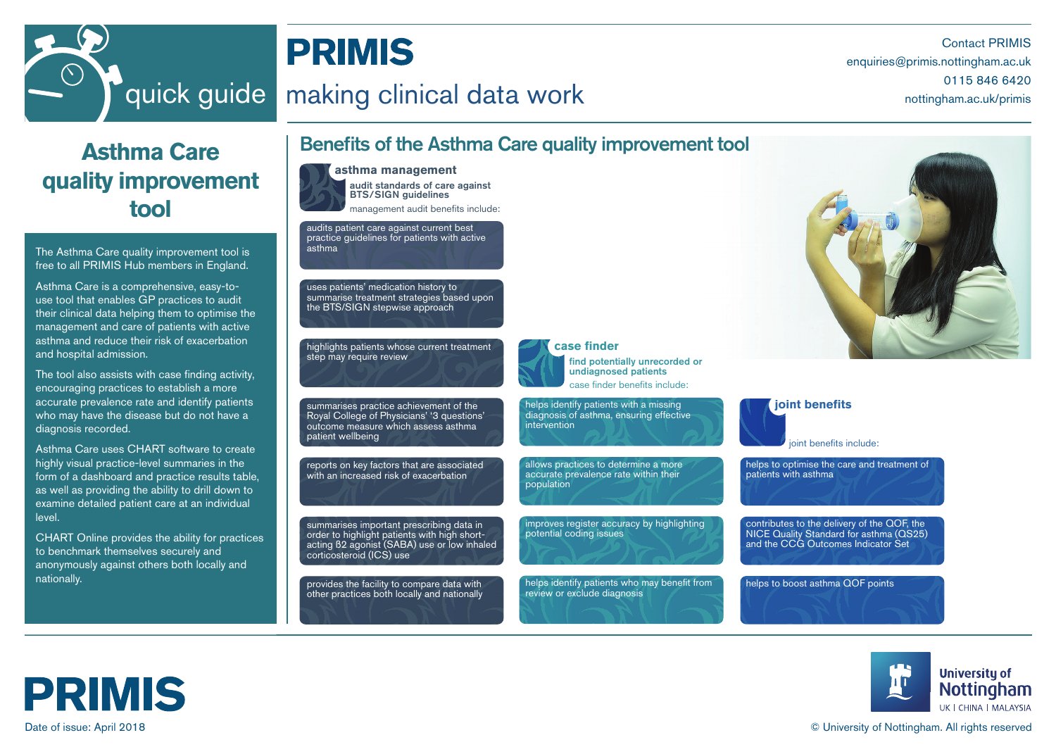

# **PRIMIS**

# Ouick guide making clinical data work noting and the mottingham.ac.uk/primis

Contact PRIMIS enquiries@primis.nottingham.ac.uk

# **Asthma Care quality improvement tool**

The Asthma Care quality improvement tool is free to all PRIMIS Hub members in England.

Asthma Care is a comprehensive, easy-touse tool that enables GP practices to audit their clinical data helping them to optimise the management and care of patients with active asthma and reduce their risk of exacerbation and hospital admission.

The tool also assists with case finding activity, encouraging practices to establish a more accurate prevalence rate and identify patients who may have the disease but do not have a diagnosis recorded.

Asthma Care uses CHART software to create highly visual practice-level summaries in the form of a dashboard and practice results table, as well as providing the ability to drill down to examine detailed patient care at an individual level.

CHART Online provides the ability for practices to benchmark themselves securely and anonymously against others both locally and nationally.

#### audit standards of care against BTS/SIGN guidelines **asthma management**  management audit benefits include: joint benefits include: **joint benefits** case finder benefits include: find potentially unrecorded or undiagnosed patients **case finder**  Benefits of the Asthma Care quality improvement tool audits patient care against current best practice guidelines for patients with active asthma uses patients' medication history to summarise treatment strategies based upon the BTS/SIGN stepwise approach highlights patients whose current treatment step may require review summarises practice achievement of the Royal College of Physicians' '3 questions' outcome measure which assess asthma patient wellbeing reports on key factors that are associated with an increased risk of exacerbation summarises important prescribing data in order to highlight patients with high shortacting ß2 agonist (SABA) use or low inhaled corticosteroid (ICS) use provides the facility to compare data with other practices both locally and nationally helps identify patients with a missing diagnosis of asthma, ensuring effective intervention allows practices to determine a more accurate prevalence rate within their population improves register accuracy by highlighting potential coding issues helps identify patients who may benefit from review or exclude diagnosis helps to optimise the care and treatment of patients with asthma contributes to the delivery of the QOF, the NICE Quality Standard for asthma (QS25) and the CCG Outcomes Indicator Set helps to boost asthma QOF points





#### Date of issue: April 2018 © University of Nottingham. All rights reserved